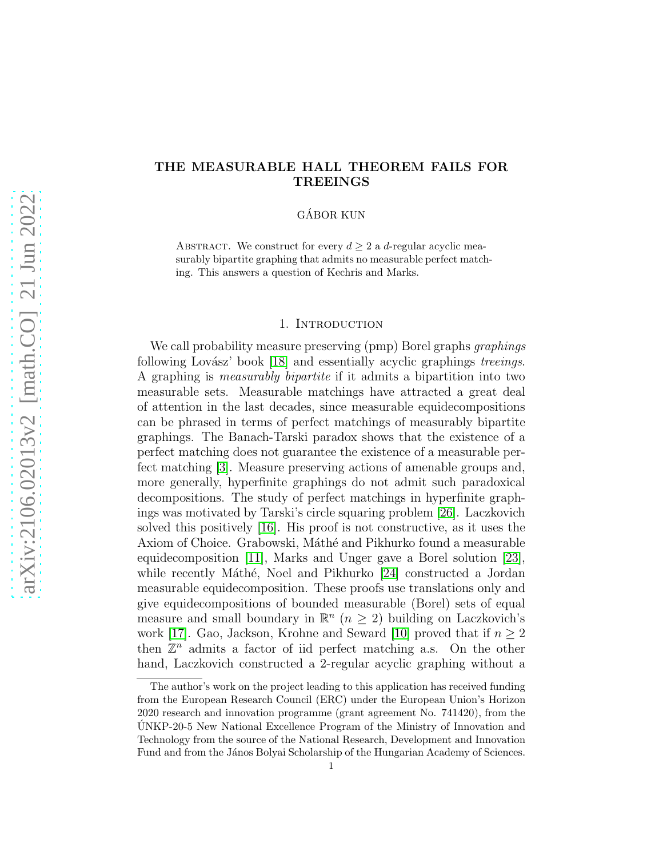# THE MEASURABLE HALL THEOREM FAILS FOR TREEINGS

GÁBOR KUN

ABSTRACT. We construct for every  $d \geq 2$  a d-regular acyclic measurably bipartite graphing that admits no measurable perfect matching. This answers a question of Kechris and Marks.

## 1. Introduction

We call probability measure preserving (pmp) Borel graphs *graphings* following Lovász' book [\[18\]](#page-7-0) and essentially acyclic graphings treeings. A graphing is measurably bipartite if it admits a bipartition into two measurable sets. Measurable matchings have attracted a great deal of attention in the last decades, since measurable equidecompositions can be phrased in terms of perfect matchings of measurably bipartite graphings. The Banach-Tarski paradox shows that the existence of a perfect matching does not guarantee the existence of a measurable perfect matching [\[3\]](#page-6-0). Measure preserving actions of amenable groups and, more generally, hyperfinite graphings do not admit such paradoxical decompositions. The study of perfect matchings in hyperfinite graphings was motivated by Tarski's circle squaring problem [\[26\]](#page-8-0). Laczkovich solved this positively [\[16\]](#page-7-1). His proof is not constructive, as it uses the Axiom of Choice. Grabowski, Máthé and Pikhurko found a measurable equidecomposition [\[11\]](#page-7-2), Marks and Unger gave a Borel solution [\[23\]](#page-7-3), while recently Máthé, Noel and Pikhurko [\[24\]](#page-7-4) constructed a Jordan measurable equidecomposition. These proofs use translations only and give equidecompositions of bounded measurable (Borel) sets of equal measure and small boundary in  $\mathbb{R}^n$  ( $n \geq 2$ ) building on Laczkovich's work [\[17\]](#page-7-5). Gao, Jackson, Krohne and Seward [\[10\]](#page-7-6) proved that if  $n \geq 2$ then  $\mathbb{Z}^n$  admits a factor of iid perfect matching a.s. On the other hand, Laczkovich constructed a 2-regular acyclic graphing without a

The author's work on the project leading to this application has received funding from the European Research Council (ERC) under the European Union's Horizon 2020 research and innovation programme (grant agreement No. 741420), from the UNKP-20-5 New National Excellence Program of the Ministry of Innovation and Technology from the source of the National Research, Development and Innovation Fund and from the János Bolyai Scholarship of the Hungarian Academy of Sciences.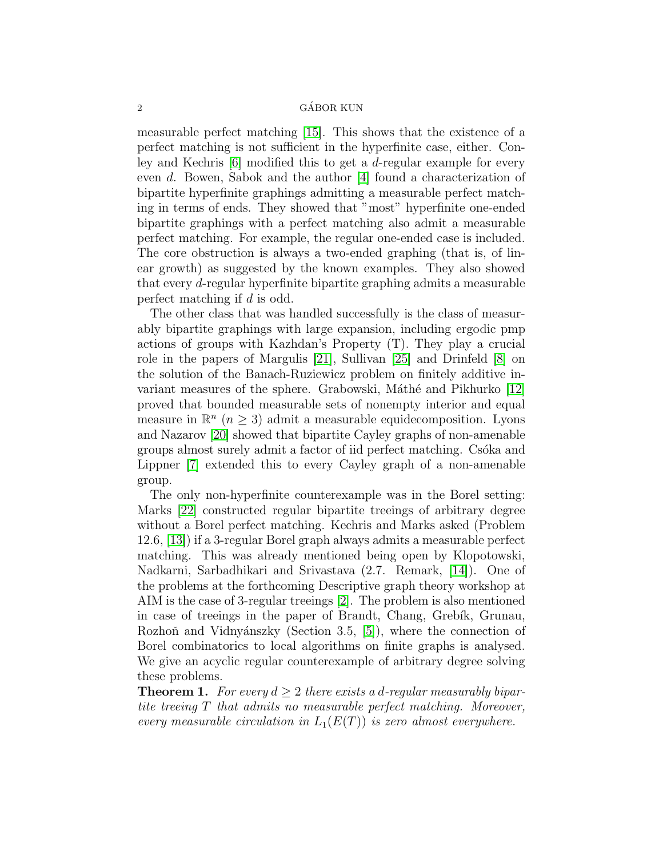## 2 GÁBOR KUN

measurable perfect matching [\[15\]](#page-7-7). This shows that the existence of a perfect matching is not sufficient in the hyperfinite case, either. Conley and Kechris  $[6]$  modified this to get a *d*-regular example for every even d. Bowen, Sabok and the author [\[4\]](#page-6-1) found a characterization of bipartite hyperfinite graphings admitting a measurable perfect matching in terms of ends. They showed that "most" hyperfinite one-ended bipartite graphings with a perfect matching also admit a measurable perfect matching. For example, the regular one-ended case is included. The core obstruction is always a two-ended graphing (that is, of linear growth) as suggested by the known examples. They also showed that every d-regular hyperfinite bipartite graphing admits a measurable perfect matching if d is odd.

The other class that was handled successfully is the class of measurably bipartite graphings with large expansion, including ergodic pmp actions of groups with Kazhdan's Property (T). They play a crucial role in the papers of Margulis [\[21\]](#page-7-9), Sullivan [\[25\]](#page-7-10) and Drinfeld [\[8\]](#page-7-11) on the solution of the Banach-Ruziewicz problem on finitely additive in-variant measures of the sphere. Grabowski, Máthé and Pikhurko [\[12\]](#page-7-12) proved that bounded measurable sets of nonempty interior and equal measure in  $\mathbb{R}^n$  ( $n \geq 3$ ) admit a measurable equidecomposition. Lyons and Nazarov [\[20\]](#page-7-13) showed that bipartite Cayley graphs of non-amenable groups almost surely admit a factor of iid perfect matching. Csóka and Lippner [\[7\]](#page-7-14) extended this to every Cayley graph of a non-amenable group.

The only non-hyperfinite counterexample was in the Borel setting: Marks [\[22\]](#page-7-15) constructed regular bipartite treeings of arbitrary degree without a Borel perfect matching. Kechris and Marks asked (Problem 12.6, [\[13\]](#page-7-16)) if a 3-regular Borel graph always admits a measurable perfect matching. This was already mentioned being open by Klopotowski, Nadkarni, Sarbadhikari and Srivastava (2.7. Remark, [\[14\]](#page-7-17)). One of the problems at the forthcoming Descriptive graph theory workshop at AIM is the case of 3-regular treeings [\[2\]](#page-6-2). The problem is also mentioned in case of treeings in the paper of Brandt, Chang, Grebík, Grunau, Rozhoň and Vidnyánszky (Section 3.5, [\[5\]](#page-6-3)), where the connection of Borel combinatorics to local algorithms on finite graphs is analysed. We give an acyclic regular counterexample of arbitrary degree solving these problems.

<span id="page-1-0"></span>**Theorem 1.** For every  $d \geq 2$  there exists a d-regular measurably bipartite treeing T that admits no measurable perfect matching. Moreover, every measurable circulation in  $L_1(E(T))$  is zero almost everywhere.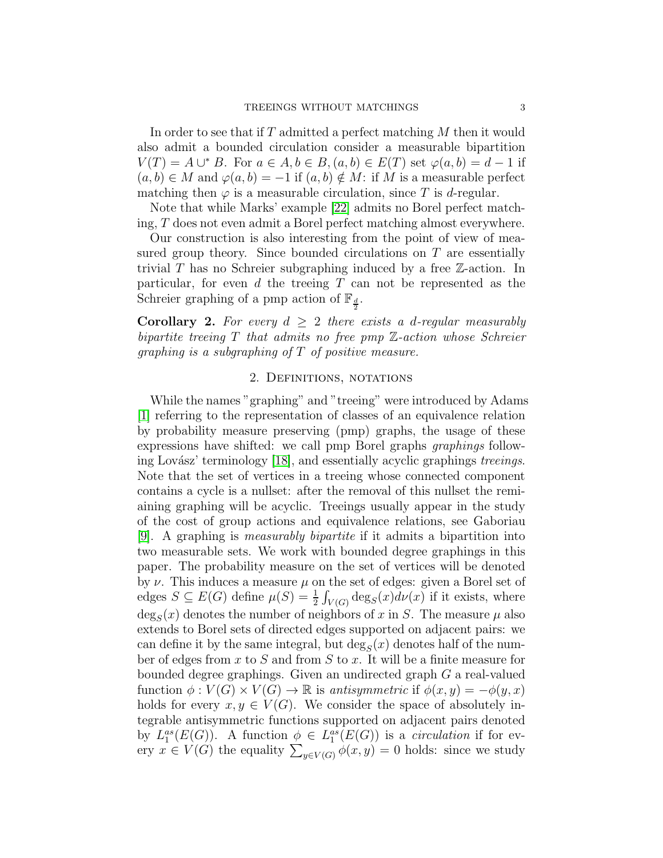In order to see that if T admitted a perfect matching M then it would also admit a bounded circulation consider a measurable bipartition  $V(T) = A \cup^* B$ . For  $a \in A, b \in B, (a, b) \in E(T)$  set  $\varphi(a, b) = d - 1$  if  $(a, b) \in M$  and  $\varphi(a, b) = -1$  if  $(a, b) \notin M$ : if M is a measurable perfect matching then  $\varphi$  is a measurable circulation, since T is d-regular.

Note that while Marks' example [\[22\]](#page-7-15) admits no Borel perfect matching, T does not even admit a Borel perfect matching almost everywhere.

Our construction is also interesting from the point of view of measured group theory. Since bounded circulations on  $T$  are essentially trivial T has no Schreier subgraphing induced by a free  $\mathbb{Z}$ -action. In particular, for even  $d$  the treeing  $T$  can not be represented as the Schreier graphing of a pmp action of  $\mathbb{F}_{\frac{d}{2}}$ .

**Corollary 2.** For every  $d \geq 2$  there exists a d-regular measurably bipartite treeing  $T$  that admits no free pmp  $\mathbb{Z}\text{-action}$  whose Schreier *graphing is a subgraphing of*  $T$  *of positive measure.* 

# 2. Definitions, notations

While the names "graphing" and "treeing" were introduced by Adams [\[1\]](#page-6-4) referring to the representation of classes of an equivalence relation by probability measure preserving (pmp) graphs, the usage of these expressions have shifted: we call pmp Borel graphs graphings follow-ing Lovász' terminology [\[18\]](#page-7-0), and essentially acyclic graphings treeings. Note that the set of vertices in a treeing whose connected component contains a cycle is a nullset: after the removal of this nullset the remiaining graphing will be acyclic. Treeings usually appear in the study of the cost of group actions and equivalence relations, see Gaboriau [\[9\]](#page-7-18). A graphing is measurably bipartite if it admits a bipartition into two measurable sets. We work with bounded degree graphings in this paper. The probability measure on the set of vertices will be denoted by  $\nu$ . This induces a measure  $\mu$  on the set of edges: given a Borel set of edges  $S \subseteq E(G)$  define  $\mu(S) = \frac{1}{2} \int_{V(G)} \deg_S(x) d\nu(x)$  if it exists, where  $\deg_S(x)$  denotes the number of neighbors of x in S. The measure  $\mu$  also extends to Borel sets of directed edges supported on adjacent pairs: we can define it by the same integral, but  $deg_S(x)$  denotes half of the number of edges from x to S and from S to x. It will be a finite measure for bounded degree graphings. Given an undirected graph G a real-valued function  $\phi: V(G) \times V(G) \to \mathbb{R}$  is antisymmetric if  $\phi(x, y) = -\phi(y, x)$ holds for every  $x, y \in V(G)$ . We consider the space of absolutely integrable antisymmetric functions supported on adjacent pairs denoted by  $L_1^{as}(E(G))$ . A function  $\phi \in L_1^{as}(E(G))$  is a *circulation* if for every  $x \in V(G)$  the equality  $\sum_{y \in V(G)} \phi(x, y) = 0$  holds: since we study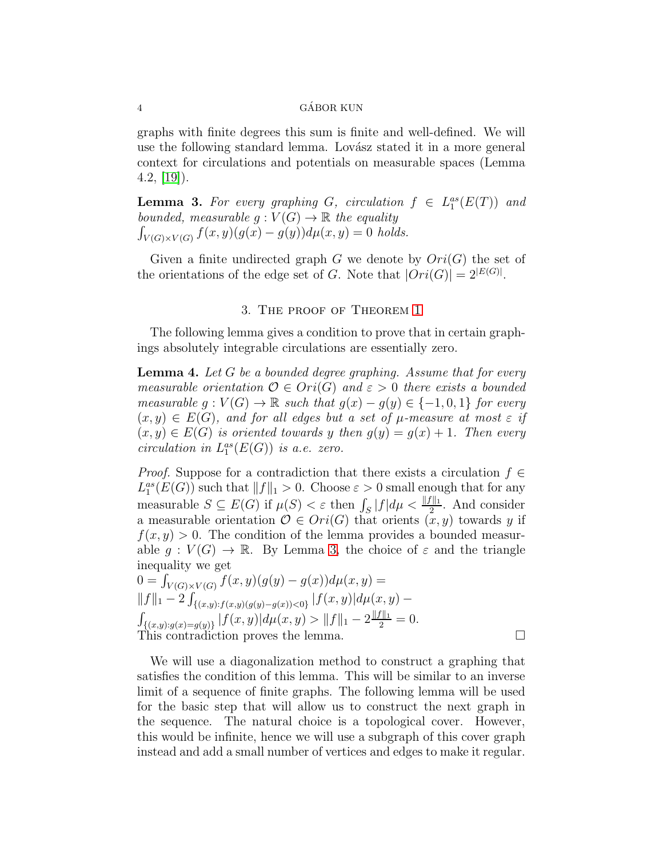## 4 GÁBOR KUN

graphs with finite degrees this sum is finite and well-defined. We will use the following standard lemma. Lovász stated it in a more general context for circulations and potentials on measurable spaces (Lemma  $4.2, [19]$  $4.2, [19]$ .

<span id="page-3-0"></span>**Lemma 3.** For every graphing G, circulation  $f \in L_1^{as}(E(T))$  and bounded, measurable  $g: V(G) \to \mathbb{R}$  the equality  $\int_{V(G)\times V(G)} f(x, y)(g(x) - g(y))d\mu(x, y) = 0$  holds.

Given a finite undirected graph G we denote by  $Ori(G)$  the set of the orientations of the edge set of G. Note that  $|Ori(G)| = 2^{|E(G)|}$ .

## 3. The proof of Theorem [1](#page-1-0)

The following lemma gives a condition to prove that in certain graphings absolutely integrable circulations are essentially zero.

<span id="page-3-1"></span>**Lemma 4.** Let  $G$  be a bounded degree graphing. Assume that for every measurable orientation  $\mathcal{O} \in \text{Ori}(G)$  and  $\varepsilon > 0$  there exists a bounded measurable  $g: V(G) \to \mathbb{R}$  such that  $g(x) - g(y) \in \{-1, 0, 1\}$  for every  $(x, y) \in E(G)$ , and for all edges but a set of  $\mu$ -measure at most  $\varepsilon$  if  $(x, y) \in E(G)$  is oriented towards y then  $g(y) = g(x) + 1$ . Then every circulation in  $L_1^{as}(E(G))$  is a.e. zero.

*Proof.* Suppose for a contradiction that there exists a circulation  $f \in$  $L_1^{as}(E(G))$  such that  $||f||_1 > 0$ . Choose  $\varepsilon > 0$  small enough that for any measurable  $S \subseteq E(G)$  if  $\mu(S) < \varepsilon$  then  $\int_S |f| d\mu < \frac{||f||_1}{2}$ . And consider a measurable orientation  $\mathcal{O} \in Ori(G)$  that orients  $(x, y)$  towards y if  $f(x, y) > 0$ . The condition of the lemma provides a bounded measurable  $g: V(G) \to \mathbb{R}$ . By Lemma [3,](#page-3-0) the choice of  $\varepsilon$  and the triangle inequality we get  $\Omega$   $\Gamma$  $f(x, y)(g(y) = g(x))du(x, y)$ 

$$
0 = J_{V(G) \times V(G)} J(x, y) (g(y) - g(x)) a\mu(x, y) =
$$
  
\n
$$
||f||_1 - 2 \int_{\{(x,y): f(x,y)(g(y) - g(x)) < 0\}} |f(x,y)| d\mu(x, y) -
$$
  
\n
$$
\int_{\{(x,y): g(x) = g(y)\}} |f(x,y)| d\mu(x, y) > ||f||_1 - 2 \frac{||f||_1}{2} = 0.
$$
  
\nThis contradiction proves the lemma.

We will use a diagonalization method to construct a graphing that satisfies the condition of this lemma. This will be similar to an inverse limit of a sequence of finite graphs. The following lemma will be used for the basic step that will allow us to construct the next graph in the sequence. The natural choice is a topological cover. However, this would be infinite, hence we will use a subgraph of this cover graph instead and add a small number of vertices and edges to make it regular.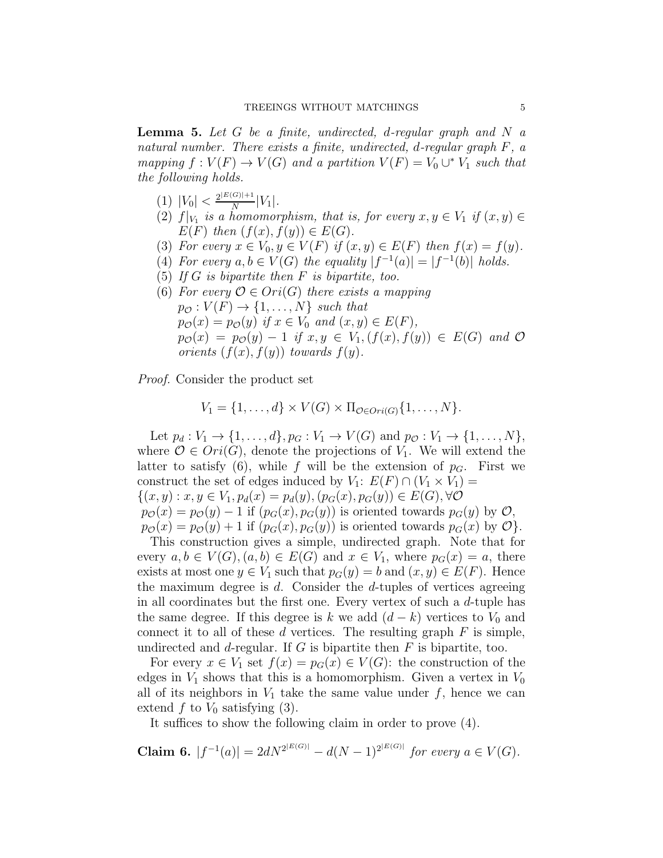<span id="page-4-0"></span>**Lemma 5.** Let  $G$  be a finite, undirected, d-regular graph and  $N$  a natural number. There exists a finite, undirected, d-regular graph F, a mapping  $f: V(F) \to V(G)$  and a partition  $V(F) = V_0 \cup^* V_1$  such that the following holds.

- $(1)$   $|V_0| < \frac{2^{|E(G)|+1}}{N}$  $\frac{S^{(0)}+1}{N}|V_1|.$
- (2)  $f|_{V_1}$  is a homomorphism, that is, for every  $x, y \in V_1$  if  $(x, y) \in$  $E(F)$  then  $(f(x), f(y)) \in E(G)$ .
- (3) For every  $x \in V_0, y \in V(F)$  if  $(x, y) \in E(F)$  then  $f(x) = f(y)$ .
- (4) For every  $a, b \in V(G)$  the equality  $|f^{-1}(a)| = |f^{-1}(b)|$  holds.
- (5) If  $G$  is bipartite then  $F$  is bipartite, too.
- (6) For every  $\mathcal{O} \in Ori(G)$  there exists a mapping  $p_{\mathcal{O}} : V(F) \to \{1, \ldots, N\}$  such that  $p_{\mathcal{O}}(x) = p_{\mathcal{O}}(y)$  if  $x \in V_0$  and  $(x, y) \in E(F)$ ,  $p_{\mathcal{O}}(x) = p_{\mathcal{O}}(y) - 1$  if  $x, y \in V_1, (f(x), f(y)) \in E(G)$  and  $\mathcal O$ orients  $(f(x), f(y))$  towards  $f(y)$ .

Proof. Consider the product set

$$
V_1 = \{1,\ldots,d\} \times V(G) \times \Pi_{\mathcal{O} \in \text{Ori}(G)} \{1,\ldots,N\}.
$$

Let  $p_d: V_1 \to \{1, ..., d\}, p_G: V_1 \to V(G)$  and  $p_{\mathcal{O}}: V_1 \to \{1, ..., N\},$ where  $\mathcal{O} \in \text{Ori}(G)$ , denote the projections of  $V_1$ . We will extend the latter to satisfy (6), while f will be the extension of  $p<sub>G</sub>$ . First we construct the set of edges induced by  $V_1: E(F) \cap (V_1 \times V_1) =$  $\{(x, y) : x, y \in V_1, p_d(x) = p_d(y), (p_G(x), p_G(y)) \in E(G), \forall \mathcal{O}\}$  $p_{\mathcal{O}}(x) = p_{\mathcal{O}}(y) - 1$  if  $(p_G(x), p_G(y))$  is oriented towards  $p_G(y)$  by  $\mathcal{O}$ ,  $p_{\mathcal{O}}(x) = p_{\mathcal{O}}(y) + 1$  if  $(p_G(x), p_G(y))$  is oriented towards  $p_G(x)$  by  $\mathcal{O}\}$ .

This construction gives a simple, undirected graph. Note that for every  $a, b \in V(G), (a, b) \in E(G)$  and  $x \in V_1$ , where  $p_G(x) = a$ , there exists at most one  $y \in V_1$  such that  $p_G(y) = b$  and  $(x, y) \in E(F)$ . Hence the maximum degree is  $d$ . Consider the  $d$ -tuples of vertices agreeing in all coordinates but the first one. Every vertex of such a d-tuple has the same degree. If this degree is k we add  $(d - k)$  vertices to  $V_0$  and connect it to all of these  $d$  vertices. The resulting graph  $F$  is simple, undirected and d-regular. If  $G$  is bipartite then  $F$  is bipartite, too.

For every  $x \in V_1$  set  $f(x) = p_G(x) \in V(G)$ : the construction of the edges in  $V_1$  shows that this is a homomorphism. Given a vertex in  $V_0$ all of its neighbors in  $V_1$  take the same value under  $f$ , hence we can extend  $f$  to  $V_0$  satisfying (3).

It suffices to show the following claim in order to prove (4).

**Claim 6.** 
$$
|f^{-1}(a)| = 2dN^{2^{|E(G)|}} - d(N-1)^{2^{|E(G)|}}
$$
 for every  $a \in V(G)$ .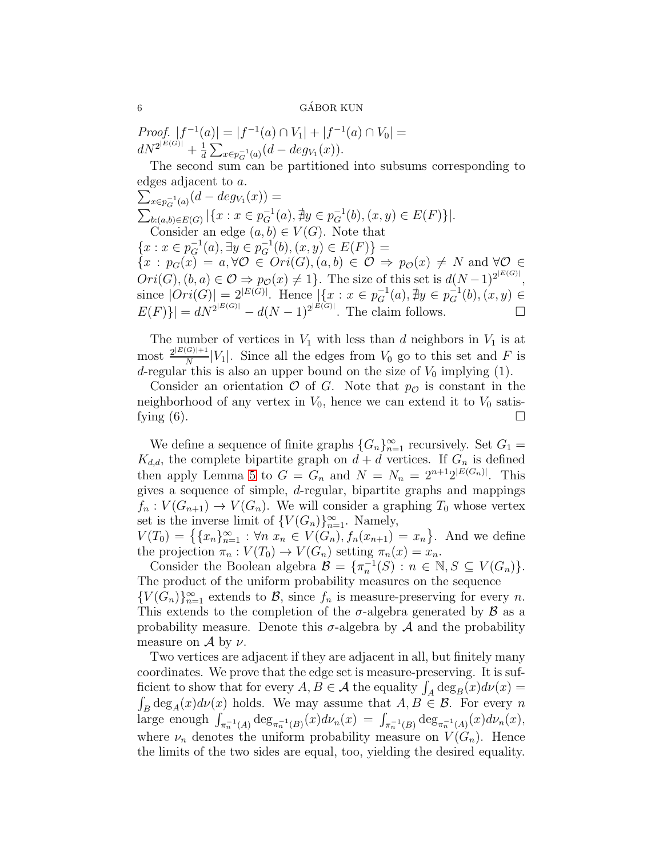## $6 \longrightarrow$  GÁBOR KUN

Proof.  $|f^{-1}(a)| = |f^{-1}(a) \cap V_1| + |f^{-1}(a) \cap V_0|$  =  $dN^{2^{|E(G)|}} + \frac{1}{d}$  $\frac{1}{d} \sum_{x \in p_G^{-1}(a)} (d - deg_{V_1}(x)).$ 

The second sum can be partitioned into subsums corresponding to edges adjacent to a.

 $\sum_{x \in p_G^{-1}(a)} (d - deg_{V_1}(x)) =$  $\sum_{b:(a,b)\in E(G)} |\{x : x \in p_G^{-1}(a), \nexists y \in p_G^{-1}(b), (x, y) \in E(F)\}|.$ Consider an edge  $(a, b) \in V(G)$ . Note that  ${x : x \in p_G^{-1}(a), \exists y \in p_G^{-1}(b), (x, y) \in E(F)}$  ${x : p_G(x) = a, \forall \mathcal{O} \in Ori(G), (a, b) \in \mathcal{O} \Rightarrow p_{\mathcal{O}}(x) \neq N \text{ and } \forall \mathcal{O} \in$  $Ori(G)$ ,  $(b, a) \in \mathcal{O} \Rightarrow p_{\mathcal{O}}(x) \neq 1$ . The size of this set is  $d(N-1)^{2^{|E(G)|}}$ , since  $|Ori(G)| = 2^{|E(G)|}$ . Hence  $|\{x : x \in p_G^{-1}(a), \nexists y \in p_G^{-1}(b), (x, y) \in$  $E(F)$ } =  $dN^{2^{|E(G)|}} - d(N-1)^{2^{|E(G)|}}$ . The claim follows.

The number of vertices in  $V_1$  with less than d neighbors in  $V_1$  is at most  $\frac{2^{|E(G)|+1}}{N}$  $\frac{S(|V_1|+1)}{N}|V_1|$ . Since all the edges from  $V_0$  go to this set and F is d-regular this is also an upper bound on the size of  $V_0$  implying (1).

Consider an orientation  $\mathcal O$  of G. Note that  $p_{\mathcal O}$  is constant in the neighborhood of any vertex in  $V_0$ , hence we can extend it to  $V_0$  satisfying  $(6)$ .

We define a sequence of finite graphs  ${G_n}_{n=1}^{\infty}$  recursively. Set  $G_1 =$  $K_{d,d}$ , the complete bipartite graph on  $d + d$  vertices. If  $G_n$  is defined then apply Lemma [5](#page-4-0) to  $G = G_n$  and  $N = N_n = 2^{n+1} 2^{|E(G_n)|}$ . This gives a sequence of simple, d-regular, bipartite graphs and mappings  $f_n: V(G_{n+1}) \to V(G_n)$ . We will consider a graphing  $T_0$  whose vertex set is the inverse limit of  ${V(G_n)}_{n=1}^{\infty}$ . Namely,

 $V(T_0) = \left\{ \{x_n\}_{n=1}^{\infty} : \forall n \ x_n \in V(G_n), f_n(x_{n+1}) = x_n \right\}$ . And we define the projection  $\pi_n : V(T_0) \to V(G_n)$  setting  $\pi_n(x) = x_n$ .

Consider the Boolean algebra  $\mathcal{B} = {\pi_n^{-1}(S) : n \in \mathbb{N}, S \subseteq V(G_n)}$ . The product of the uniform probability measures on the sequence  ${V(G_n)}_{n=1}^{\infty}$  extends to  $\mathcal{B}$ , since  $f_n$  is measure-preserving for every n. This extends to the completion of the  $\sigma$ -algebra generated by  $\beta$  as a probability measure. Denote this  $\sigma$ -algebra by  $\mathcal A$  and the probability measure on  $\mathcal A$  by  $\nu$ .

Two vertices are adjacent if they are adjacent in all, but finitely many coordinates. We prove that the edge set is measure-preserving. It is sufficient to show that for every  $A, B \in \mathcal{A}$  the equality  $\int_A \deg_B(x) d\nu(x) =$  $\int_B \deg_A(x) d\nu(x)$  holds. We may assume that  $A, B \in \mathcal{B}$ . For every n large enough  $\int_{\pi_n^{-1}(A)} \deg_{\pi_n^{-1}(B)}(x) d\nu_n(x) = \int_{\pi_n^{-1}(B)} \deg_{\pi_n^{-1}(A)}(x) d\nu_n(x)$ , where  $\nu_n$  denotes the uniform probability measure on  $V(G_n)$ . Hence the limits of the two sides are equal, too, yielding the desired equality.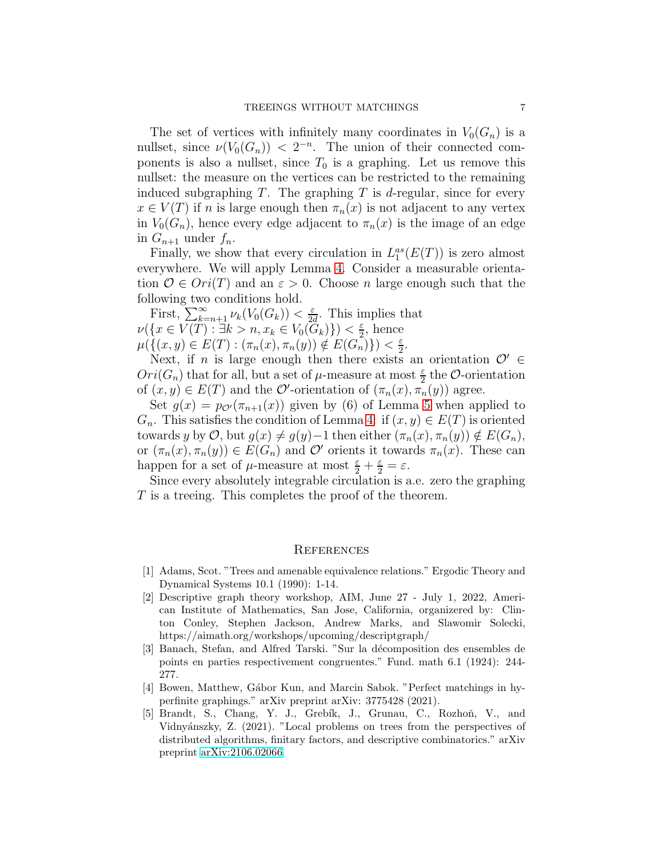The set of vertices with infinitely many coordinates in  $V_0(G_n)$  is a nullset, since  $\nu(V_0(G_n)) < 2^{-n}$ . The union of their connected components is also a nullset, since  $T_0$  is a graphing. Let us remove this nullset: the measure on the vertices can be restricted to the remaining induced subgraphing  $T$ . The graphing  $T$  is d-regular, since for every  $x \in V(T)$  if n is large enough then  $\pi_n(x)$  is not adjacent to any vertex in  $V_0(G_n)$ , hence every edge adjacent to  $\pi_n(x)$  is the image of an edge in  $G_{n+1}$  under  $f_n$ .

Finally, we show that every circulation in  $L_1^{as}(E(T))$  is zero almost everywhere. We will apply Lemma [4.](#page-3-1) Consider a measurable orientation  $\mathcal{O} \in \text{Ori}(T)$  and an  $\varepsilon > 0$ . Choose *n* large enough such that the following two conditions hold.

First,  $\sum_{k=n+1}^{\infty} \nu_k(V_0(G_k)) < \frac{\varepsilon}{2\varepsilon}$  $\frac{\varepsilon}{2d}$ . This implies that  $\nu(\lbrace x \in V(T) : \exists k > n, x_k \in V_0(\widetilde{G}_k) \rbrace) < \frac{\varepsilon}{2}$  $\frac{\varepsilon}{2}$ , hence  $\mu(\{(x,y)\in E(T): (\pi_n(x), \pi_n(y)) \notin E(G_n)\}) < \frac{\varepsilon}{2}$  $\frac{\varepsilon}{2}$ .

Next, if *n* is large enough then there exists an orientation  $\mathcal{O}' \in$  $Ori(G_n)$  that for all, but a set of  $\mu$ -measure at most  $\frac{\varepsilon}{2}$  the  $\mathcal O$ -orientation of  $(x, y) \in E(T)$  and the  $\mathcal{O}'$ -orientation of  $(\pi_n(x), \pi_n(y))$  agree.

Set  $g(x) = p_{\mathcal{O}'}(\pi_{n+1}(x))$  given by (6) of Lemma [5](#page-4-0) when applied to  $G_n$ . This satisfies the condition of Lemma [4:](#page-3-1) if  $(x, y) \in E(T)$  is oriented towards y by  $\mathcal{O}$ , but  $g(x) \neq g(y)$ −1 then either  $(\pi_n(x), \pi_n(y)) \notin E(G_n)$ , or  $(\pi_n(x), \pi_n(y)) \in E(G_n)$  and  $\mathcal{O}'$  orients it towards  $\pi_n(x)$ . These can happen for a set of  $\mu$ -measure at most  $\frac{\varepsilon}{2} + \frac{\varepsilon}{2} = \varepsilon$ .

Since every absolutely integrable circulation is a.e. zero the graphing T is a treeing. This completes the proof of the theorem.

#### **REFERENCES**

- <span id="page-6-4"></span>[1] Adams, Scot. "Trees and amenable equivalence relations." Ergodic Theory and Dynamical Systems 10.1 (1990): 1-14.
- <span id="page-6-2"></span>[2] Descriptive graph theory workshop, AIM, June 27 - July 1, 2022, American Institute of Mathematics, San Jose, California, organizered by: Clinton Conley, Stephen Jackson, Andrew Marks, and Slawomir Solecki, https://aimath.org/workshops/upcoming/descriptgraph/
- <span id="page-6-0"></span>[3] Banach, Stefan, and Alfred Tarski. "Sur la décomposition des ensembles de points en parties respectivement congruentes." Fund. math 6.1 (1924): 244- 277.
- <span id="page-6-1"></span>[4] Bowen, Matthew, G´abor Kun, and Marcin Sabok. "Perfect matchings in hyperfinite graphings." arXiv preprint arXiv: 3775428 (2021).
- <span id="page-6-3"></span>[5] Brandt, S., Chang, Y. J., Grebík, J., Grunau, C., Rozhoň, V., and Vidnyánszky, Z. (2021). "Local problems on trees from the perspectives of distributed algorithms, finitary factors, and descriptive combinatorics." arXiv preprint [arXiv:2106.02066.](http://arxiv.org/abs/2106.02066)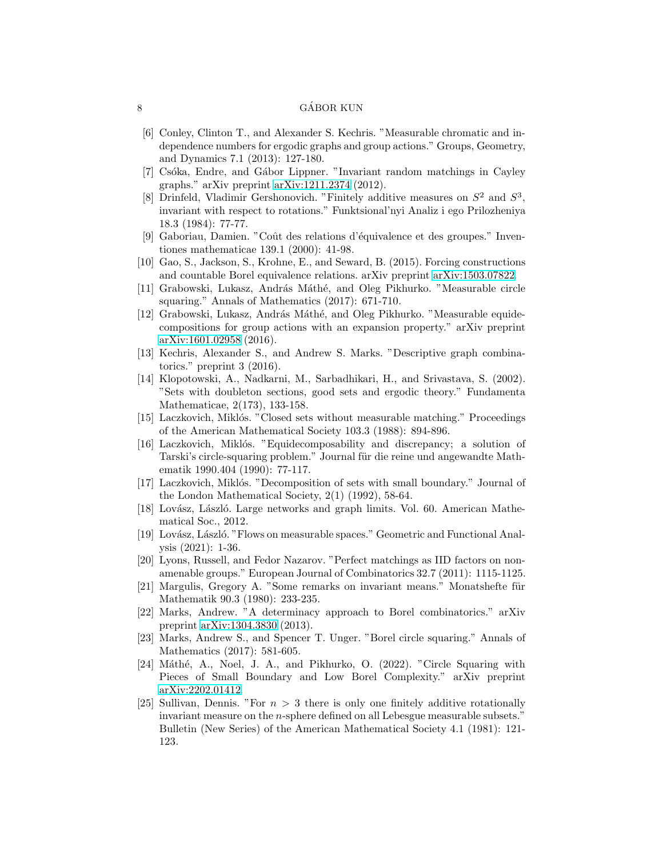#### 8 GÁBOR KUN

- [6] Conley, Clinton T., and Alexander S. Kechris. "Measurable chromatic and independence numbers for ergodic graphs and group actions." Groups, Geometry, and Dynamics 7.1 (2013): 127-180.
- <span id="page-7-14"></span>[7] Csóka, Endre, and Gábor Lippner. "Invariant random matchings in Cayley graphs." arXiv preprint [arXiv:1211.2374](http://arxiv.org/abs/1211.2374) (2012).
- <span id="page-7-11"></span>[8] Drinfeld, Vladimir Gershonovich. "Finitely additive measures on  $S^2$  and  $S^3$ , invariant with respect to rotations." Funktsional'nyi Analiz i ego Prilozheniya 18.3 (1984): 77-77.
- <span id="page-7-18"></span>[9] Gaboriau, Damien. "Coût des relations d'équivalence et des groupes." Inventiones mathematicae 139.1 (2000): 41-98.
- <span id="page-7-6"></span><span id="page-7-2"></span>[10] Gao, S., Jackson, S., Krohne, E., and Seward, B. (2015). Forcing constructions and countable Borel equivalence relations. arXiv preprint [arXiv:1503.07822.](http://arxiv.org/abs/1503.07822)
- [11] Grabowski, Lukasz, András Máthé, and Oleg Pikhurko. "Measurable circle squaring." Annals of Mathematics (2017): 671-710.
- <span id="page-7-12"></span>[12] Grabowski, Lukasz, András Máthé, and Oleg Pikhurko. "Measurable equidecompositions for group actions with an expansion property." arXiv preprint [arXiv:1601.02958](http://arxiv.org/abs/1601.02958) (2016).
- <span id="page-7-16"></span>[13] Kechris, Alexander S., and Andrew S. Marks. "Descriptive graph combinatorics." preprint 3 (2016).
- <span id="page-7-17"></span>[14] Klopotowski, A., Nadkarni, M., Sarbadhikari, H., and Srivastava, S. (2002). "Sets with doubleton sections, good sets and ergodic theory." Fundamenta Mathematicae, 2(173), 133-158.
- <span id="page-7-7"></span>[15] Laczkovich, Miklós. "Closed sets without measurable matching." Proceedings of the American Mathematical Society 103.3 (1988): 894-896.
- <span id="page-7-1"></span>[16] Laczkovich, Miklós. "Equidecomposability and discrepancy; a solution of Tarski's circle-squaring problem." Journal für die reine und angewandte Mathematik 1990.404 (1990): 77-117.
- <span id="page-7-5"></span>[17] Laczkovich, Miklós. "Decomposition of sets with small boundary." Journal of the London Mathematical Society, 2(1) (1992), 58-64.
- <span id="page-7-0"></span>[18] Lovász, László. Large networks and graph limits. Vol. 60. American Mathematical Soc., 2012.
- <span id="page-7-19"></span>[19] Lovász, László. "Flows on measurable spaces." Geometric and Functional Analysis (2021): 1-36.
- <span id="page-7-13"></span>[20] Lyons, Russell, and Fedor Nazarov. "Perfect matchings as IID factors on nonamenable groups." European Journal of Combinatorics 32.7 (2011): 1115-1125.
- <span id="page-7-9"></span>[21] Margulis, Gregory A. "Some remarks on invariant means." Monatshefte für Mathematik 90.3 (1980): 233-235.
- <span id="page-7-15"></span>[22] Marks, Andrew. "A determinacy approach to Borel combinatorics." arXiv preprint [arXiv:1304.3830](http://arxiv.org/abs/1304.3830) (2013).
- <span id="page-7-3"></span>[23] Marks, Andrew S., and Spencer T. Unger. "Borel circle squaring." Annals of Mathematics (2017): 581-605.
- <span id="page-7-4"></span>[24] Máthé, A., Noel, J. A., and Pikhurko, O. (2022). "Circle Squaring with Pieces of Small Boundary and Low Borel Complexity." arXiv preprint [arXiv:2202.01412.](http://arxiv.org/abs/2202.01412)
- <span id="page-7-10"></span>[25] Sullivan, Dennis. "For  $n > 3$  there is only one finitely additive rotationally invariant measure on the n-sphere defined on all Lebesgue measurable subsets." Bulletin (New Series) of the American Mathematical Society 4.1 (1981): 121- 123.

<span id="page-7-8"></span>